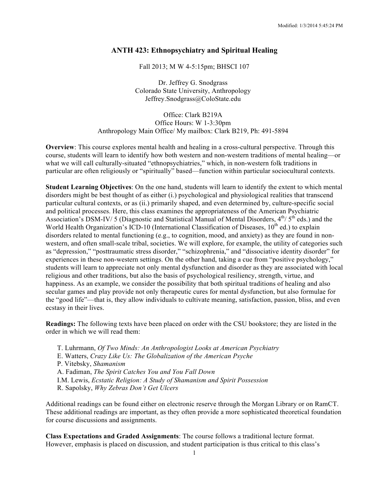#### **ANTH 423: Ethnopsychiatry and Spiritual Healing**

Fall 2013; M W 4-5:15pm; BHSCI 107

Dr. Jeffrey G. Snodgrass Colorado State University, Anthropology Jeffrey.Snodgrass@ColoState.edu

Office: Clark B219A Office Hours: W 1-3:30pm Anthropology Main Office/ My mailbox: Clark B219, Ph: 491-5894

**Overview**: This course explores mental health and healing in a cross-cultural perspective. Through this course, students will learn to identify how both western and non-western traditions of mental healing—or what we will call culturally-situated "ethnopsychiatries," which, in non-western folk traditions in particular are often religiously or "spiritually" based—function within particular sociocultural contexts.

**Student Learning Objectives**: On the one hand, students will learn to identify the extent to which mental disorders might be best thought of as either (i.) psychological and physiological realities that transcend particular cultural contexts, or as (ii.) primarily shaped, and even determined by, culture-specific social and political processes. Here, this class examines the appropriateness of the American Psychiatric Association's DSM-IV/ 5 (Diagnostic and Statistical Manual of Mental Disorders,  $4^{th}$ /  $5^{th}$  eds.) and the World Health Organization's ICD-10 (International Classification of Diseases,  $10<sup>th</sup>$  ed.) to explain disorders related to mental functioning (e.g., to cognition, mood, and anxiety) as they are found in nonwestern, and often small-scale tribal, societies. We will explore, for example, the utility of categories such as "depression," "posttraumatic stress disorder," "schizophrenia," and "dissociative identity disorder" for experiences in these non-western settings. On the other hand, taking a cue from "positive psychology," students will learn to appreciate not only mental dysfunction and disorder as they are associated with local religious and other traditions, but also the basis of psychological resiliency, strength, virtue, and happiness. As an example, we consider the possibility that both spiritual traditions of healing and also secular games and play provide not only therapeutic cures for mental dysfunction, but also formulae for the "good life"—that is, they allow individuals to cultivate meaning, satisfaction, passion, bliss, and even ecstasy in their lives.

**Readings:** The following texts have been placed on order with the CSU bookstore; they are listed in the order in which we will read them:

- T. Luhrmann, *Of Two Minds: An Anthropologist Looks at American Psychiatry*
- E. Watters, *Crazy Like Us: The Globalization of the American Psyche*
- P. Vitebsky, *Shamanism*
- A. Fadiman, *The Spirit Catches You and You Fall Down*
- I.M. Lewis, *Ecstatic Religion: A Study of Shamanism and Spirit Possession*
- R. Sapolsky, *Why Zebras Don't Get Ulcers*

Additional readings can be found either on electronic reserve through the Morgan Library or on RamCT. These additional readings are important, as they often provide a more sophisticated theoretical foundation for course discussions and assignments.

**Class Expectations and Graded Assignments**: The course follows a traditional lecture format. However, emphasis is placed on discussion, and student participation is thus critical to this class's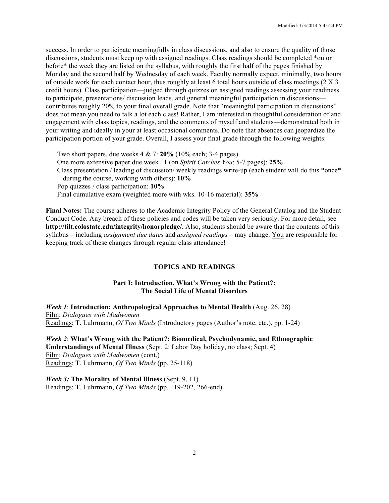success. In order to participate meaningfully in class discussions, and also to ensure the quality of those discussions, students must keep up with assigned readings. Class readings should be completed \*on or before\* the week they are listed on the syllabus, with roughly the first half of the pages finished by Monday and the second half by Wednesday of each week. Faculty normally expect, minimally, two hours of outside work for each contact hour, thus roughly at least 6 total hours outside of class meetings (2 X 3 credit hours). Class participation—judged through quizzes on assigned readings assessing your readiness to participate, presentations/ discussion leads, and general meaningful participation in discussions contributes roughly 20% to your final overall grade. Note that "meaningful participation in discussions" does not mean you need to talk a lot each class! Rather, I am interested in thoughtful consideration of and engagement with class topics, readings, and the comments of myself and students—demonstrated both in your writing and ideally in your at least occasional comments. Do note that absences can jeopardize the participation portion of your grade. Overall, I assess your final grade through the following weights:

Two short papers, due weeks 4 & 7: **20%** (10% each; 3-4 pages) One more extensive paper due week 11 (on *Spirit Catches You*; 5-7 pages): **25%** Class presentation / leading of discussion/ weekly readings write-up (each student will do this \*once\* during the course, working with others): **10%** Pop quizzes / class participation: **10%** Final cumulative exam (weighted more with wks. 10-16 material): **35%**

**Final Notes:** The course adheres to the Academic Integrity Policy of the General Catalog and the Student Conduct Code. Any breach of these policies and codes will be taken very seriously. For more detail, see **http://tilt.colostate.edu/integrity/honorpledge/.** Also, students should be aware that the contents of this syllabus *–* including *assignment due dates* and *assigned readings* – may change. You are responsible for keeping track of these changes through regular class attendance!

#### **TOPICS AND READINGS**

#### **Part I: Introduction, What's Wrong with the Patient?: The Social Life of Mental Disorders**

*Week 1*: **Introduction: Anthropological Approaches to Mental Health** (Aug. 26, 28) Film: *Dialogues with Madwomen* Readings: T. Luhrmann, *Of Two Minds* (Introductory pages (Author's note, etc.), pp. 1-24)

*Week 2*: **What's Wrong with the Patient?: Biomedical, Psychodynamic, and Ethnographic Understandings of Mental Illness** (Sept. 2: Labor Day holiday, no class; Sept. 4) Film: *Dialogues with Madwomen* (cont.) Readings: T. Luhrmann, *Of Two Minds* (pp. 25-118)

*Week 3:* **The Morality of Mental Illness** (Sept. 9, 11) Readings: T. Luhrmann, *Of Two Minds* (pp. 119-202, 266-end)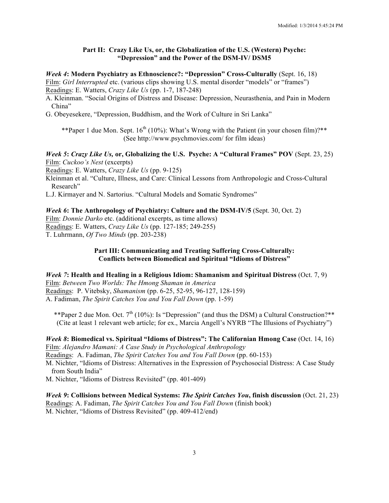#### **Part II: Crazy Like Us, or, the Globalization of the U.S. (Western) Psyche: "Depression" and the Power of the DSM-IV/ DSM5**

*Week 4***: Modern Psychiatry as Ethnoscience?: "Depression" Cross-Culturally** (Sept. 16, 18) Film: *Girl Interrupted* etc. (various clips showing U.S. mental disorder "models" or "frames") Readings: E. Watters, *Crazy Like Us* (pp. 1-7, 187-248)

A. Kleinman. "Social Origins of Distress and Disease: Depression, Neurasthenia, and Pain in Modern China"

G. Obeyesekere, "Depression, Buddhism, and the Work of Culture in Sri Lanka"

\*\*Paper 1 due Mon. Sept.  $16<sup>th</sup> (10%)$ : What's Wrong with the Patient (in your chosen film)?\*\* (See http://www.psychmovies.com/ for film ideas)

#### *Week 5***:** *Crazy Like Us,* **or, Globalizing the U.S. Psyche: A "Cultural Frames" POV** (Sept. 23, 25) Film: *Cuckoo's Nest* (excerpts)

Readings: E. Watters, *Crazy Like Us* (pp. 9-125)

Kleinman et al. "Culture, Illness, and Care: Clinical Lessons from Anthropologic and Cross-Cultural Research"

L.J. Kirmayer and N. Sartorius. "Cultural Models and Somatic Syndromes"

#### *Week 6***: The Anthropology of Psychiatry: Culture and the DSM-IV/5** (Sept. 30, Oct. 2)

Film: *Donnie Darko* etc. (additional excerpts, as time allows) Readings: E. Watters, *Crazy Like Us* (pp. 127-185; 249-255)

T. Luhrmann, *Of Two Minds* (pp. 203-238)

#### **Part III: Communicating and Treating Suffering Cross-Culturally: Conflicts between Biomedical and Spiritual "Idioms of Distress"**

*Week 7***: Health and Healing in a Religious Idiom: Shamanism and Spiritual Distress** (Oct. 7, 9) Film: *Between Two Worlds: The Hmong Shaman in America* Readings: P. Vitebsky, *Shamanism* (pp. 6-25, 52-95, 96-127, 128-159) A. Fadiman, *The Spirit Catches You and You Fall Down* (pp. 1-59)

\*\*Paper 2 due Mon. Oct.  $7<sup>th</sup>$  (10%): Is "Depression" (and thus the DSM) a Cultural Construction?\*\* (Cite at least 1 relevant web article; for ex., Marcia Angell's NYRB "The Illusions of Psychiatry")

*Week 8***: Biomedical vs. Spiritual "Idioms of Distress": The Californian Hmong Case** (Oct. 14, 16) Film: *Alejandro Mamani: A Case Study in Psychological Anthropology* Readings: A. Fadiman, *The Spirit Catches You and You Fall Down* (pp. 60-153) M. Nichter, "Idioms of Distress: Alternatives in the Expression of Psychosocial Distress: A Case Study from South India"

M. Nichter, "Idioms of Distress Revisited" (pp. 401-409)

*Week 9***: Collisions between Medical Systems:** *The Spirit Catches You***, finish discussion** (Oct. 21, 23) Readings: A. Fadiman, *The Spirit Catches You and You Fall Down* (finish book) M. Nichter, "Idioms of Distress Revisited" (pp. 409-412/end)